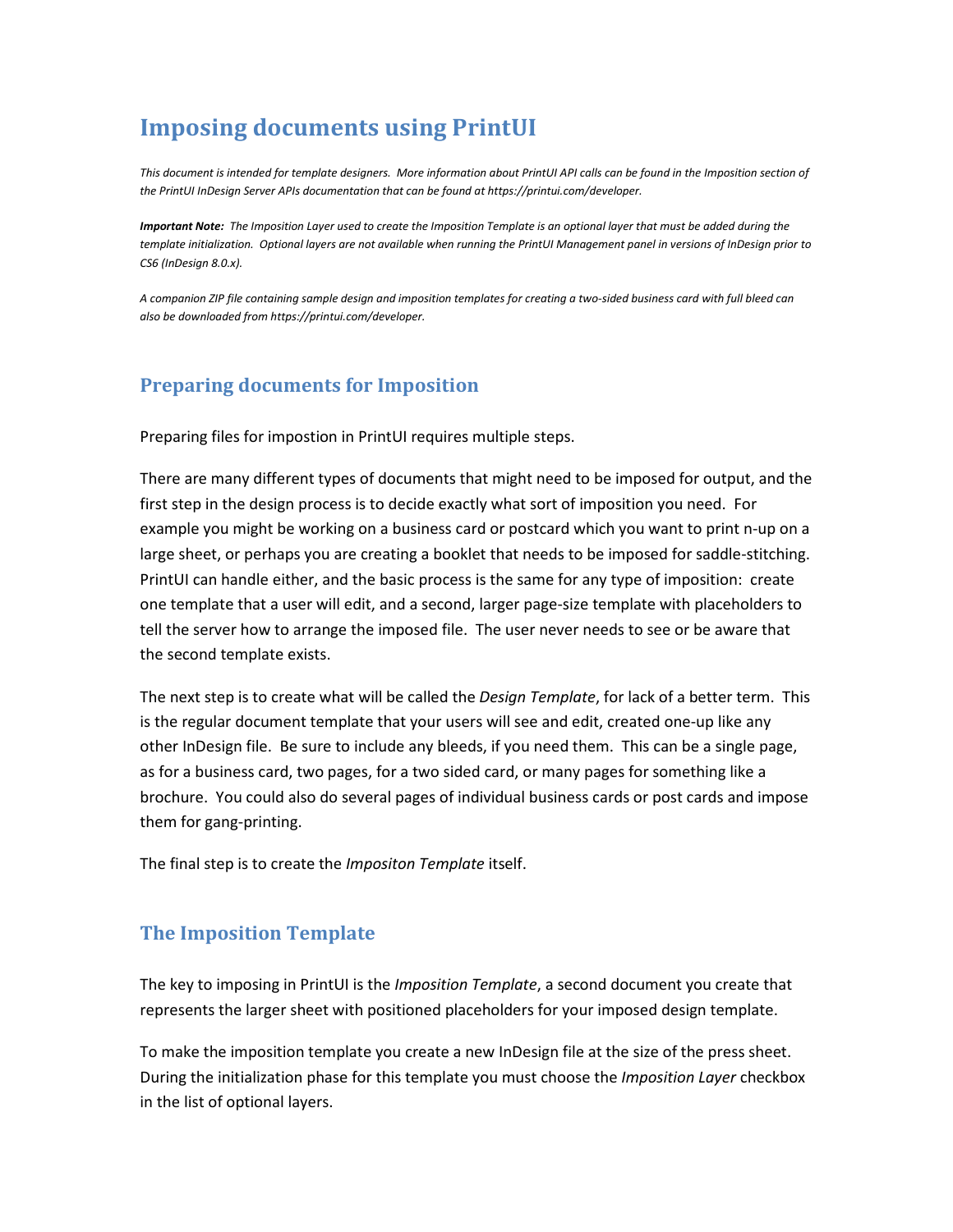## **Imposing documents using PrintUI**

*This document is intended for template designers. More information about PrintUI API calls can be found in the Imposition section of the PrintUI InDesign Server APIs documentation that can be found at https://printui.com/developer.*

*Important Note: The Imposition Layer used to create the Imposition Template is an optional layer that must be added during the template initialization. Optional layers are not available when running the PrintUI Management panel in versions of InDesign prior to CS6 (InDesign 8.0.x).*

*A companion ZIP file containing sample design and imposition templates for creating a two-sided business card with full bleed can also be downloaded from https://printui.com/developer.*

## **Preparing documents for Imposition**

Preparing files for impostion in PrintUI requires multiple steps.

There are many different types of documents that might need to be imposed for output, and the first step in the design process is to decide exactly what sort of imposition you need. For example you might be working on a business card or postcard which you want to print n-up on a large sheet, or perhaps you are creating a booklet that needs to be imposed for saddle-stitching. PrintUI can handle either, and the basic process is the same for any type of imposition: create one template that a user will edit, and a second, larger page-size template with placeholders to tell the server how to arrange the imposed file. The user never needs to see or be aware that the second template exists.

The next step is to create what will be called the *Design Template*, for lack of a better term. This is the regular document template that your users will see and edit, created one-up like any other InDesign file. Be sure to include any bleeds, if you need them. This can be a single page, as for a business card, two pages, for a two sided card, or many pages for something like a brochure. You could also do several pages of individual business cards or post cards and impose them for gang-printing.

The final step is to create the *Impositon Template* itself.

## **The Imposition Template**

The key to imposing in PrintUI is the *Imposition Template*, a second document you create that represents the larger sheet with positioned placeholders for your imposed design template.

To make the imposition template you create a new InDesign file at the size of the press sheet. During the initialization phase for this template you must choose the *Imposition Layer* checkbox in the list of optional layers.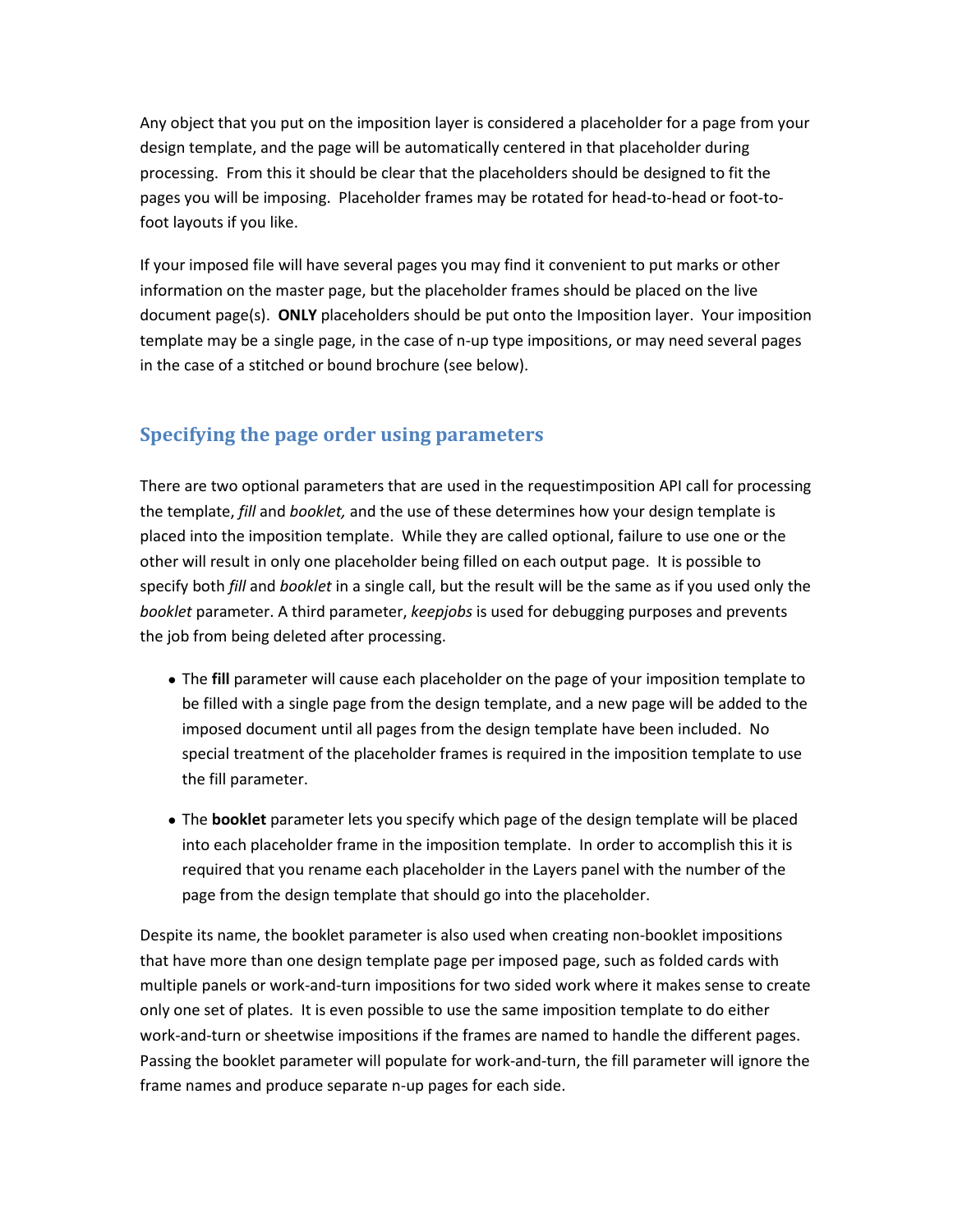Any object that you put on the imposition layer is considered a placeholder for a page from your design template, and the page will be automatically centered in that placeholder during processing. From this it should be clear that the placeholders should be designed to fit the pages you will be imposing. Placeholder frames may be rotated for head-to-head or foot-tofoot layouts if you like.

If your imposed file will have several pages you may find it convenient to put marks or other information on the master page, but the placeholder frames should be placed on the live document page(s). **ONLY** placeholders should be put onto the Imposition layer. Your imposition template may be a single page, in the case of n-up type impositions, or may need several pages in the case of a stitched or bound brochure (see below).

## **Specifying the page order using parameters**

There are two optional parameters that are used in the requestimposition API call for processing the template, *fill* and *booklet,* and the use of these determines how your design template is placed into the imposition template. While they are called optional, failure to use one or the other will result in only one placeholder being filled on each output page. It is possible to specify both *fill* and *booklet* in a single call, but the result will be the same as if you used only the *booklet* parameter. A third parameter, *keepjobs* is used for debugging purposes and prevents the job from being deleted after processing.

- The **fill** parameter will cause each placeholder on the page of your imposition template to be filled with a single page from the design template, and a new page will be added to the imposed document until all pages from the design template have been included. No special treatment of the placeholder frames is required in the imposition template to use the fill parameter.
- The **booklet** parameter lets you specify which page of the design template will be placed into each placeholder frame in the imposition template. In order to accomplish this it is required that you rename each placeholder in the Layers panel with the number of the page from the design template that should go into the placeholder.

Despite its name, the booklet parameter is also used when creating non-booklet impositions that have more than one design template page per imposed page, such as folded cards with multiple panels or work-and-turn impositions for two sided work where it makes sense to create only one set of plates. It is even possible to use the same imposition template to do either work-and-turn or sheetwise impositions if the frames are named to handle the different pages. Passing the booklet parameter will populate for work-and-turn, the fill parameter will ignore the frame names and produce separate n-up pages for each side.